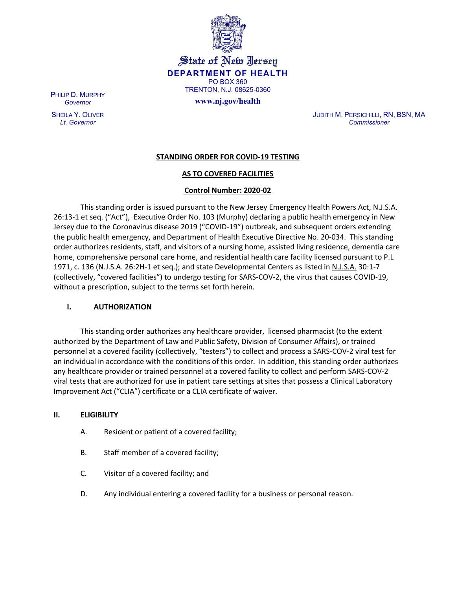

State of New Jersey **DEPARTMENT OF HEALTH** PO BOX 360 TRENTON, N.J. 08625-0360

**www.nj.gov/health**

PHILIP D. MURPHY *Governor*

SHEILA Y. OLIVER *Lt. Governor*

JUDITH M. PERSICHILLI, RN, BSN, MA *Commissioner*

# **STANDING ORDER FOR COVID-19 TESTING**

## **AS TO COVERED FACILITIES**

## **Control Number: 2020-02**

This standing order is issued pursuant to the New Jersey Emergency Health Powers Act, N.J.S.A. 26:13-1 et seq. ("Act"), Executive Order No. 103 (Murphy) declaring a public health emergency in New Jersey due to the Coronavirus disease 2019 ("COVID-19") outbreak, and subsequent orders extending the public health emergency, and Department of Health Executive Directive No. 20-034. This standing order authorizes residents, staff, and visitors of a nursing home, assisted living residence, dementia care home, comprehensive personal care home, and residential health care facility licensed pursuant to P.L 1971, c. 136 (N.J.S.A. 26:2H-1 et seq.); and state Developmental Centers as listed in N.J.S.A. 30:1-7 (collectively, "covered facilities") to undergo testing for SARS-COV-2, the virus that causes COVID-19, without a prescription, subject to the terms set forth herein.

#### **I. AUTHORIZATION**

This standing order authorizes any healthcare provider, licensed pharmacist (to the extent authorized by the Department of Law and Public Safety, Division of Consumer Affairs), or trained personnel at a covered facility (collectively, "testers") to collect and process a SARS-COV-2 viral test for an individual in accordance with the conditions of this order. In addition, this standing order authorizes any healthcare provider or trained personnel at a covered facility to collect and perform SARS-COV-2 viral tests that are authorized for use in patient care settings at sites that possess a Clinical Laboratory Improvement Act ("CLIA") certificate or a CLIA certificate of waiver.

#### **II. ELIGIBILITY**

- A. Resident or patient of a covered facility;
- B. Staff member of a covered facility;
- C. Visitor of a covered facility; and
- D. Any individual entering a covered facility for a business or personal reason.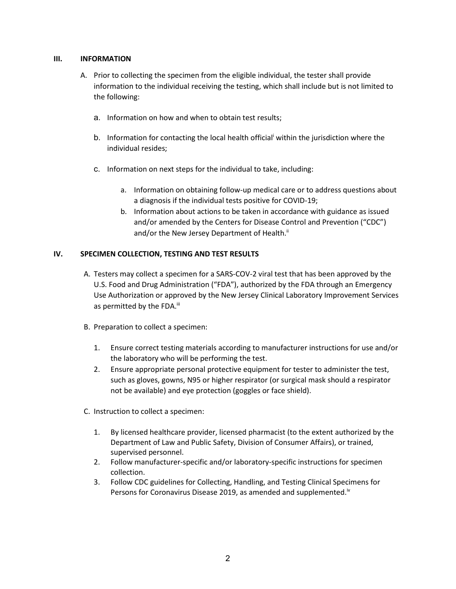## **III. INFORMATION**

- A. Prior to collecting the specimen from the eligible individual, the tester shall provide information to the individual receiving the testing, which shall include but is not limited to the following:
	- a. Information on how and when to obtain test results;
	- b. Information for contacting the local health official within the jurisdiction where the individual resides;
	- c. Information on next steps for the individual to take, including:
		- a. Information on obtaining follow-up medical care or to address questions about a diagnosis if the individual tests positive for COVID-19;
		- b. Information about actions to be taken in accordance with guidance as issued and/or amended by the Centers for Disease Control and Prevention ("CDC") and/or the New Jersey Department of Health.<sup>ii</sup>

# **IV. SPECIMEN COLLECTION, TESTING AND TEST RESULTS**

- A. Testers may collect a specimen for a SARS-COV-2 viral test that has been approved by the U.S. Food and Drug Administration ("FDA"), authorized by the FDA through an Emergency Use Authorization or approved by the New Jersey Clinical Laboratory Improvement Services as permitted by the FDA.<sup>iii</sup>
- B. Preparation to collect a specimen:
	- 1. Ensure correct testing materials according to manufacturer instructions for use and/or the laboratory who will be performing the test.
	- 2. Ensure appropriate personal protective equipment for tester to administer the test, such as gloves, gowns, N95 or higher respirator (or surgical mask should a respirator not be available) and eye protection (goggles or face shield).
- C. Instruction to collect a specimen:
	- 1. By licensed healthcare provider, licensed pharmacist (to the extent authorized by the Department of Law and Public Safety, Division of Consumer Affairs), or trained, supervised personnel.
	- 2. Follow manufacturer-specific and/or laboratory-specific instructions for specimen collection.
	- 3. Follow CDC guidelines for Collecting, Handling, and Testing Clinical Specimens for Persons for Coronavirus Disease 2019, as amended and supplemented.<sup>iv</sup>